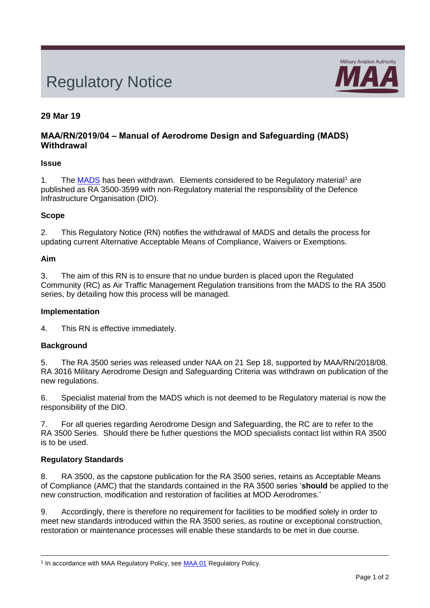# Regulatory Notice



# **29 Mar 19**

# **MAA/RN/2019/04 – Manual of Aerodrome Design and Safeguarding (MADS) Withdrawal**

# **Issue**

1. The [MADS](https://www.gov.uk/government/publications/manual-of-aerodrome-design-and-safeguarding-mads) has been withdrawn. Elements considered to be Regulatory material<sup>1</sup> are published as RA 3500-3599 with non-Regulatory material the responsibility of the Defence Infrastructure Organisation (DIO).

# **Scope**

2. This Regulatory Notice (RN) notifies the withdrawal of MADS and details the process for updating current Alternative Acceptable Means of Compliance, Waivers or Exemptions.

# **Aim**

3. The aim of this RN is to ensure that no undue burden is placed upon the Regulated Community (RC) as Air Traffic Management Regulation transitions from the MADS to the RA 3500 series, by detailing how this process will be managed.

#### **Implementation**

4. This RN is effective immediately.

# **Background**

5. The RA 3500 series was released under NAA on 21 Sep 18, supported by MAA/RN/2018/08. RA 3016 Military Aerodrome Design and Safeguarding Criteria was withdrawn on publication of the new regulations.

6. Specialist material from the MADS which is not deemed to be Regulatory material is now the responsibility of the DIO.

7. For all queries regarding Aerodrome Design and Safeguarding, the RC are to refer to the RA 3500 Series. Should there be futher questions the MOD specialists contact list within RA 3500 is to be used.

# **Regulatory Standards**

<span id="page-0-0"></span>8. RA 3500, as the capstone publication for the RA 3500 series, retains as Acceptable Means of Compliance (AMC) that the standards contained in the RA 3500 series '**should** be applied to the new construction, modification and restoration of facilities at MOD Aerodromes.'

9. Accordingly, there is therefore no requirement for facilities to be modified solely in order to meet new standards introduced within the RA 3500 series, as routine or exceptional construction, restoration or maintenance processes will enable these standards to be met in due course.

<sup>&</sup>lt;sup>1</sup> In accordance with MAA Regulatory Policy, see **MAA 01** Regulatory Policy.